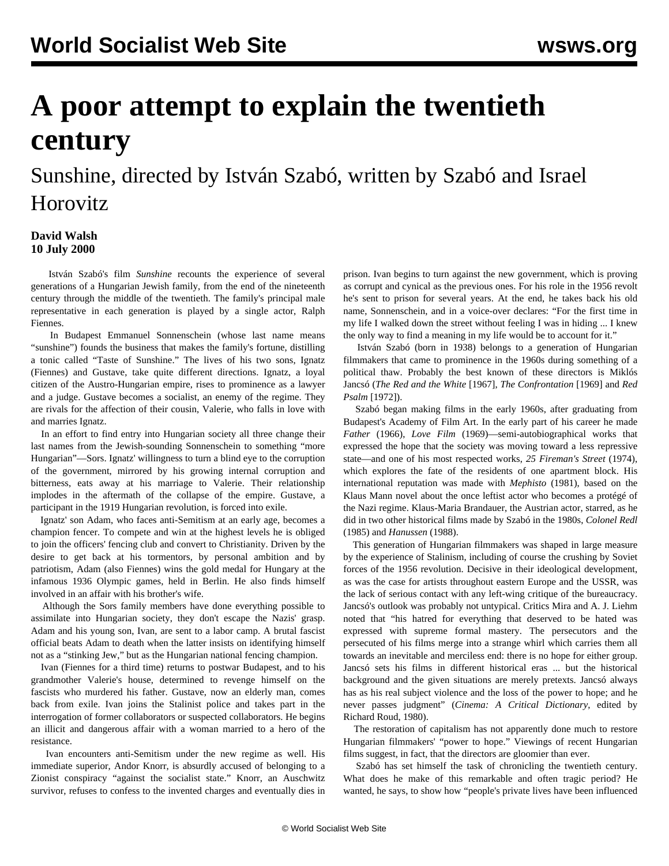## **A poor attempt to explain the twentieth century**

## Sunshine, directed by István Szabó, written by Szabó and Israel Horovitz

## **David Walsh 10 July 2000**

 István Szabó's film *Sunshine* recounts the experience of several generations of a Hungarian Jewish family, from the end of the nineteenth century through the middle of the twentieth. The family's principal male representative in each generation is played by a single actor, Ralph Fiennes.

 In Budapest Emmanuel Sonnenschein (whose last name means "sunshine") founds the business that makes the family's fortune, distilling a tonic called "Taste of Sunshine." The lives of his two sons, Ignatz (Fiennes) and Gustave, take quite different directions. Ignatz, a loyal citizen of the Austro-Hungarian empire, rises to prominence as a lawyer and a judge. Gustave becomes a socialist, an enemy of the regime. They are rivals for the affection of their cousin, Valerie, who falls in love with and marries Ignatz.

 In an effort to find entry into Hungarian society all three change their last names from the Jewish-sounding Sonnenschein to something "more Hungarian"—Sors. Ignatz' willingness to turn a blind eye to the corruption of the government, mirrored by his growing internal corruption and bitterness, eats away at his marriage to Valerie. Their relationship implodes in the aftermath of the collapse of the empire. Gustave, a participant in the 1919 Hungarian revolution, is forced into exile.

 Ignatz' son Adam, who faces anti-Semitism at an early age, becomes a champion fencer. To compete and win at the highest levels he is obliged to join the officers' fencing club and convert to Christianity. Driven by the desire to get back at his tormentors, by personal ambition and by patriotism, Adam (also Fiennes) wins the gold medal for Hungary at the infamous 1936 Olympic games, held in Berlin. He also finds himself involved in an affair with his brother's wife.

 Although the Sors family members have done everything possible to assimilate into Hungarian society, they don't escape the Nazis' grasp. Adam and his young son, Ivan, are sent to a labor camp. A brutal fascist official beats Adam to death when the latter insists on identifying himself not as a "stinking Jew," but as the Hungarian national fencing champion.

 Ivan (Fiennes for a third time) returns to postwar Budapest, and to his grandmother Valerie's house, determined to revenge himself on the fascists who murdered his father. Gustave, now an elderly man, comes back from exile. Ivan joins the Stalinist police and takes part in the interrogation of former collaborators or suspected collaborators. He begins an illicit and dangerous affair with a woman married to a hero of the resistance.

 Ivan encounters anti-Semitism under the new regime as well. His immediate superior, Andor Knorr, is absurdly accused of belonging to a Zionist conspiracy "against the socialist state." Knorr, an Auschwitz survivor, refuses to confess to the invented charges and eventually dies in prison. Ivan begins to turn against the new government, which is proving as corrupt and cynical as the previous ones. For his role in the 1956 revolt he's sent to prison for several years. At the end, he takes back his old name, Sonnenschein, and in a voice-over declares: "For the first time in my life I walked down the street without feeling I was in hiding ... I knew the only way to find a meaning in my life would be to account for it."

 István Szabó (born in 1938) belongs to a generation of Hungarian filmmakers that came to prominence in the 1960s during something of a political thaw. Probably the best known of these directors is Miklós Jancsó (*The Red and the White* [1967], *The Confrontation* [1969] and *Red Psalm* [1972]).

 Szabó began making films in the early 1960s, after graduating from Budapest's Academy of Film Art. In the early part of his career he made *Father* (1966), *Love Film* (1969)—semi-autobiographical works that expressed the hope that the society was moving toward a less repressive state—and one of his most respected works, *25 Fireman's Street* (1974), which explores the fate of the residents of one apartment block. His international reputation was made with *Mephisto* (1981), based on the Klaus Mann novel about the once leftist actor who becomes a protégé of the Nazi regime. Klaus-Maria Brandauer, the Austrian actor, starred, as he did in two other historical films made by Szabó in the 1980s, *Colonel Redl* (1985) and *Hanussen* (1988).

 This generation of Hungarian filmmakers was shaped in large measure by the experience of Stalinism, including of course the crushing by Soviet forces of the 1956 revolution. Decisive in their ideological development, as was the case for artists throughout eastern Europe and the USSR, was the lack of serious contact with any left-wing critique of the bureaucracy. Jancsó's outlook was probably not untypical. Critics Mira and A. J. Liehm noted that "his hatred for everything that deserved to be hated was expressed with supreme formal mastery. The persecutors and the persecuted of his films merge into a strange whirl which carries them all towards an inevitable and merciless end: there is no hope for either group. Jancsó sets his films in different historical eras ... but the historical background and the given situations are merely pretexts. Jancsó always has as his real subject violence and the loss of the power to hope; and he never passes judgment" (*Cinema: A Critical Dictionary*, edited by Richard Roud, 1980).

 The restoration of capitalism has not apparently done much to restore Hungarian filmmakers' "power to hope." Viewings of recent Hungarian films suggest, in fact, that the directors are gloomier than ever.

 Szabó has set himself the task of chronicling the twentieth century. What does he make of this remarkable and often tragic period? He wanted, he says, to show how "people's private lives have been influenced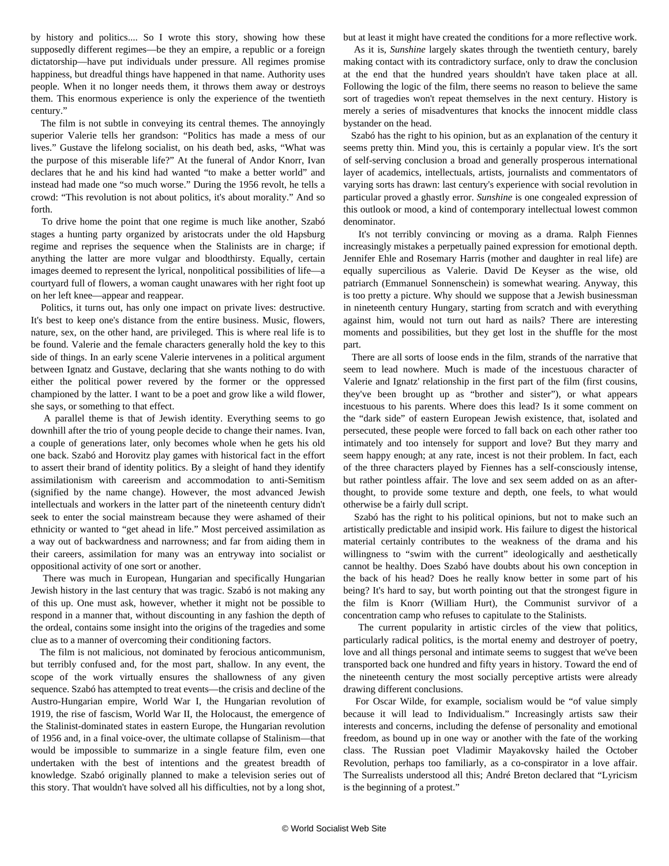by history and politics.... So I wrote this story, showing how these supposedly different regimes—be they an empire, a republic or a foreign dictatorship—have put individuals under pressure. All regimes promise happiness, but dreadful things have happened in that name. Authority uses people. When it no longer needs them, it throws them away or destroys them. This enormous experience is only the experience of the twentieth century."

 The film is not subtle in conveying its central themes. The annoyingly superior Valerie tells her grandson: "Politics has made a mess of our lives." Gustave the lifelong socialist, on his death bed, asks, "What was the purpose of this miserable life?" At the funeral of Andor Knorr, Ivan declares that he and his kind had wanted "to make a better world" and instead had made one "so much worse." During the 1956 revolt, he tells a crowd: "This revolution is not about politics, it's about morality." And so forth.

 To drive home the point that one regime is much like another, Szabó stages a hunting party organized by aristocrats under the old Hapsburg regime and reprises the sequence when the Stalinists are in charge; if anything the latter are more vulgar and bloodthirsty. Equally, certain images deemed to represent the lyrical, nonpolitical possibilities of life—a courtyard full of flowers, a woman caught unawares with her right foot up on her left knee—appear and reappear.

 Politics, it turns out, has only one impact on private lives: destructive. It's best to keep one's distance from the entire business. Music, flowers, nature, sex, on the other hand, are privileged. This is where real life is to be found. Valerie and the female characters generally hold the key to this side of things. In an early scene Valerie intervenes in a political argument between Ignatz and Gustave, declaring that she wants nothing to do with either the political power revered by the former or the oppressed championed by the latter. I want to be a poet and grow like a wild flower, she says, or something to that effect.

 A parallel theme is that of Jewish identity. Everything seems to go downhill after the trio of young people decide to change their names. Ivan, a couple of generations later, only becomes whole when he gets his old one back. Szabó and Horovitz play games with historical fact in the effort to assert their brand of identity politics. By a sleight of hand they identify assimilationism with careerism and accommodation to anti-Semitism (signified by the name change). However, the most advanced Jewish intellectuals and workers in the latter part of the nineteenth century didn't seek to enter the social mainstream because they were ashamed of their ethnicity or wanted to "get ahead in life." Most perceived assimilation as a way out of backwardness and narrowness; and far from aiding them in their careers, assimilation for many was an entryway into socialist or oppositional activity of one sort or another.

 There was much in European, Hungarian and specifically Hungarian Jewish history in the last century that was tragic. Szabó is not making any of this up. One must ask, however, whether it might not be possible to respond in a manner that, without discounting in any fashion the depth of the ordeal, contains some insight into the origins of the tragedies and some clue as to a manner of overcoming their conditioning factors.

 The film is not malicious, not dominated by ferocious anticommunism, but terribly confused and, for the most part, shallow. In any event, the scope of the work virtually ensures the shallowness of any given sequence. Szabó has attempted to treat events—the crisis and decline of the Austro-Hungarian empire, World War I, the Hungarian revolution of 1919, the rise of fascism, World War II, the Holocaust, the emergence of the Stalinist-dominated states in eastern Europe, the Hungarian revolution of 1956 and, in a final voice-over, the ultimate collapse of Stalinism—that would be impossible to summarize in a single feature film, even one undertaken with the best of intentions and the greatest breadth of knowledge. Szabó originally planned to make a television series out of this story. That wouldn't have solved all his difficulties, not by a long shot,

but at least it might have created the conditions for a more reflective work.

 As it is, *Sunshine* largely skates through the twentieth century, barely making contact with its contradictory surface, only to draw the conclusion at the end that the hundred years shouldn't have taken place at all. Following the logic of the film, there seems no reason to believe the same sort of tragedies won't repeat themselves in the next century. History is merely a series of misadventures that knocks the innocent middle class bystander on the head.

 Szabó has the right to his opinion, but as an explanation of the century it seems pretty thin. Mind you, this is certainly a popular view. It's the sort of self-serving conclusion a broad and generally prosperous international layer of academics, intellectuals, artists, journalists and commentators of varying sorts has drawn: last century's experience with social revolution in particular proved a ghastly error. *Sunshine* is one congealed expression of this outlook or mood, a kind of contemporary intellectual lowest common denominator.

 It's not terribly convincing or moving as a drama. Ralph Fiennes increasingly mistakes a perpetually pained expression for emotional depth. Jennifer Ehle and Rosemary Harris (mother and daughter in real life) are equally supercilious as Valerie. David De Keyser as the wise, old patriarch (Emmanuel Sonnenschein) is somewhat wearing. Anyway, this is too pretty a picture. Why should we suppose that a Jewish businessman in nineteenth century Hungary, starting from scratch and with everything against him, would not turn out hard as nails? There are interesting moments and possibilities, but they get lost in the shuffle for the most part.

 There are all sorts of loose ends in the film, strands of the narrative that seem to lead nowhere. Much is made of the incestuous character of Valerie and Ignatz' relationship in the first part of the film (first cousins, they've been brought up as "brother and sister"), or what appears incestuous to his parents. Where does this lead? Is it some comment on the "dark side" of eastern European Jewish existence, that, isolated and persecuted, these people were forced to fall back on each other rather too intimately and too intensely for support and love? But they marry and seem happy enough; at any rate, incest is not their problem. In fact, each of the three characters played by Fiennes has a self-consciously intense, but rather pointless affair. The love and sex seem added on as an afterthought, to provide some texture and depth, one feels, to what would otherwise be a fairly dull script.

 Szabó has the right to his political opinions, but not to make such an artistically predictable and insipid work. His failure to digest the historical material certainly contributes to the weakness of the drama and his willingness to "swim with the current" ideologically and aesthetically cannot be healthy. Does Szabó have doubts about his own conception in the back of his head? Does he really know better in some part of his being? It's hard to say, but worth pointing out that the strongest figure in the film is Knorr (William Hurt), the Communist survivor of a concentration camp who refuses to capitulate to the Stalinists.

 The current popularity in artistic circles of the view that politics, particularly radical politics, is the mortal enemy and destroyer of poetry, love and all things personal and intimate seems to suggest that we've been transported back one hundred and fifty years in history. Toward the end of the nineteenth century the most socially perceptive artists were already drawing different conclusions.

 For Oscar Wilde, for example, socialism would be "of value simply because it will lead to Individualism." Increasingly artists saw their interests and concerns, including the defense of personality and emotional freedom, as bound up in one way or another with the fate of the working class. The Russian poet Vladimir Mayakovsky hailed the October Revolution, perhaps too familiarly, as a co-conspirator in a love affair. The Surrealists understood all this; André Breton declared that "Lyricism is the beginning of a protest."